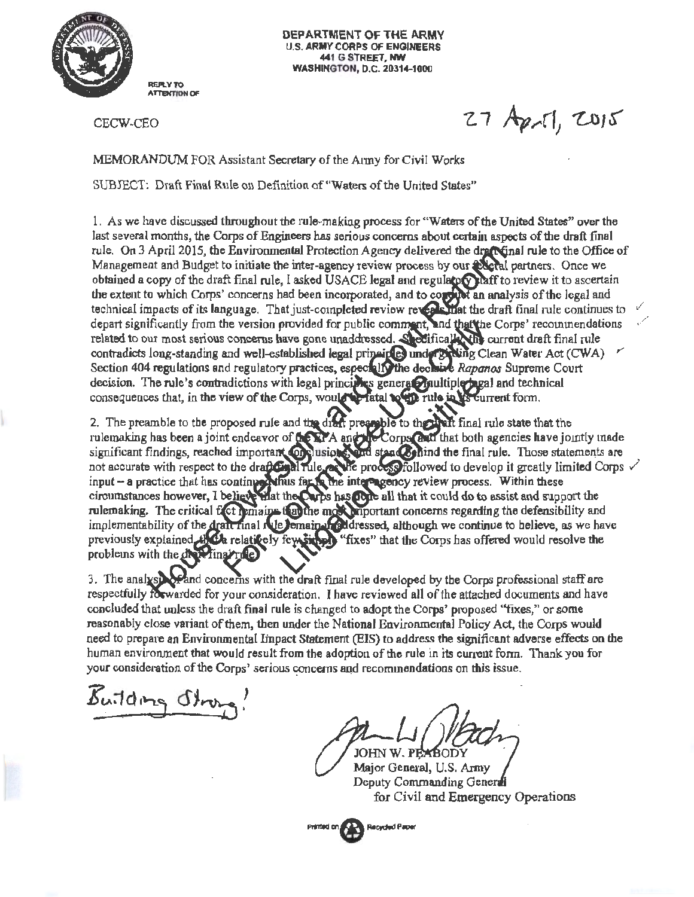

DEPARTMENT OF THE ARMY U.S. ARMY CORPS OF ENGINEERS 441 G STREET, NW **WASHINGTON, D.C. 20314-1000** 

CBCW-CEO

 $27$  April, 2015

MEMORANDUM FOR Assistant Secretary of the Almy for Civil Works

SUBJECT: Draft Final Rule on Definition of"Waters of the United States"

1. As we have discussed throughout the rule-making process for "Waters of the United States" over the last several months, the Corps of Engineers has serious concerns about certain aspects of the draft final rule. On 3 April 2015, the Environmental Protection Agency delivered the draft linal rule to the Office of Management and Budget to initiate the inter-agency review process by our **Property and network**. Once we obtained a copy of the draft final rule, I asked USACE legal and regulatory that to review it to ascertain the extent to which Corps' concerns had been incorporated, and to concurs an analysis of the legal and technical impacts of its language. That just-completed review reveals that the draft final rule continues to depart significantly from the version provided for public comment, and that the Corps' recommendations related to our most serious concerns have gone unaddressed. Sectifically the current draft final rule contradicts long-standing and well-established legal pripaires under grading Clean Water Act (CWA)  $\sim$ Section 404 regulations and regulatory practices, espectably the declaire *Rapanos* Supreme Court decision. The rule's contradictions with legal principles general inultiple regal and technical consequences that, in the view of the Corps, would write the rule in its current form.

consequences that, in the view of the Corps, would be ratal to the rule in use current form.<br>2. The preamble to the proposed rule and the diant presept to the rule final rule state that the rulemaking has been a joint endeavor of the KPA and the Corps and that both agencies have jointly made significant findings, reached important conclusions and stand stimulation final rule. Those statements are input - a practice that has continued thus far to the inter-gency review process. Within these circumstances however, I believe that the carps has cone all that it could do to assist and support the circumstances however, I believe that the Carps has come all that it could do to assist and support the<br>rulemaking. The critical fict permains that the most barportant concerns regarding the defensibility and implementability of the draft rinal male remain and dressed, although we continue to helieve, as we have previously explained all the relatively feverial of "fixes" that the Corps has offered would resolve the implementability of the draft rinal rule Jemain<br>previously explained the a relatively few site<br>problems with the draft rinal rule

3. The analysperiand concerns with the draft final rule developed by the Corps professional staff are respectfully forwarded for your consideration. I have reviewed all of the attached documents and have concluded that unless the draft final rule is changed to adopt the Corps' proposed "fixes," or some reasonably close variant of them, then under the National Environmental Policy Act, the Corps would need to prepare an Environmental Iinpact Statement (EIS) to address the significant adverse effects on the human environment that would result from the adoption of the rule in its current fonn. Thank you for your consideration of the Corps' serious concerns and recommendations on this issue.

Building Stree

JOHN W. PE)

Major General, U.S. Army Deputy Commanding Gener for Civil and Emergency Operations

Printing on **Can Recycled Paper**